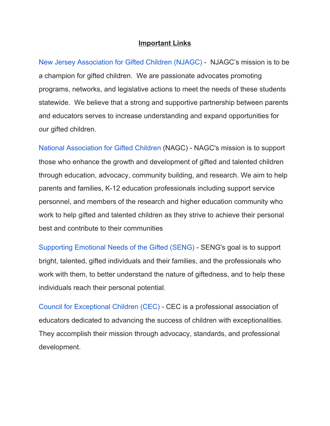## **Important Links**

New Jersey [Association](http://www.njagc.org/) for Gifted Children (NJAGC) - NJAGC's mission is to be a champion for gifted children. We are passionate advocates promoting programs, networks, and legislative actions to meet the needs of these students statewide. We believe that a strong and supportive partnership between parents and educators serves to increase understanding and expand opportunities for our gifted children.

National [Association](http://www.nagc.org/) for Gifted Children (NAGC) - NAGC's mission is to support those who enhance the growth and development of gifted and talented children through education, advocacy, community building, and research. We aim to help parents and families, K-12 education professionals including support service personnel, and members of the research and higher education community who work to help gifted and talented children as they strive to achieve their personal best and contribute to their communities

[Supporting](http://www.sengifted.org/) Emotional Needs of the Gifted (SENG) - SENG's goal is to support bright, talented, gifted individuals and their families, and the professionals who work with them, to better understand the nature of giftedness, and to help these individuals reach their personal potential.

Council for [Exceptional](http://www.cec.sped.org/) Children (CEC) - CEC is a professional association of educators dedicated to advancing the success of children with exceptionalities. They accomplish their mission through advocacy, standards, and professional development.